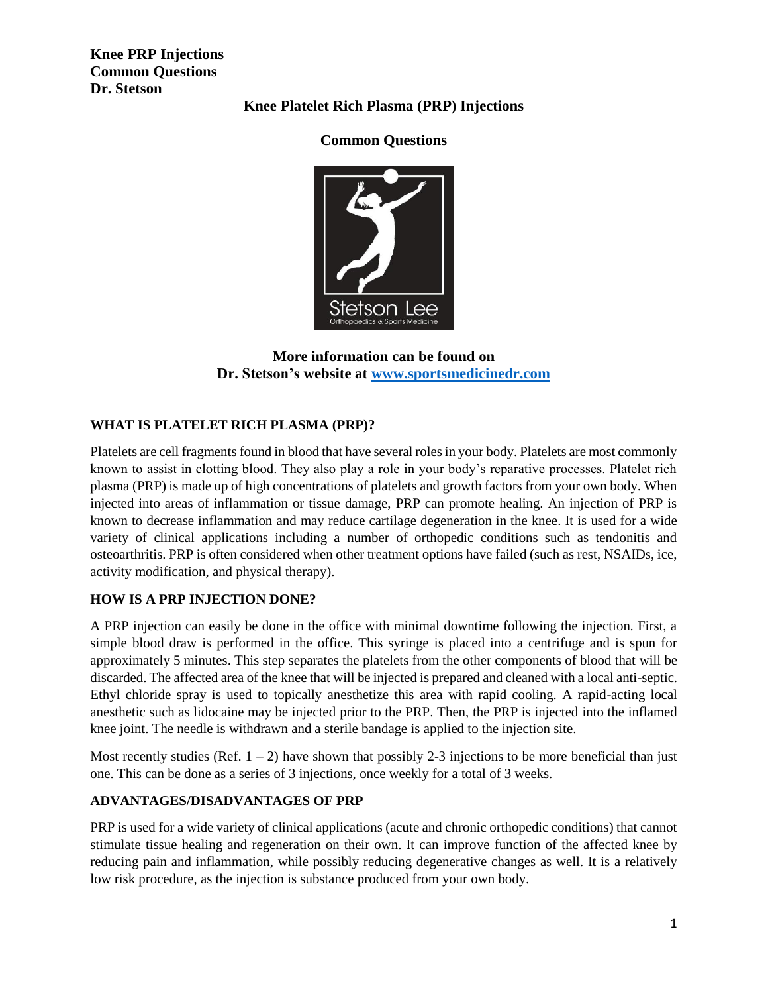**Knee PRP Injections Common Questions Dr. Stetson**

## **Knee Platelet Rich Plasma (PRP) Injections**

# **Common Questions**



## **More information can be found on Dr. Stetson's website at [www.sportsmedicinedr.com](http://www.sportsmedicinedr.com/)**

# **WHAT IS PLATELET RICH PLASMA (PRP)?**

Platelets are cell fragments found in blood that have several roles in your body. Platelets are most commonly known to assist in clotting blood. They also play a role in your body's reparative processes. Platelet rich plasma (PRP) is made up of high concentrations of platelets and growth factors from your own body. When injected into areas of inflammation or tissue damage, PRP can promote healing. An injection of PRP is known to decrease inflammation and may reduce cartilage degeneration in the knee. It is used for a wide variety of clinical applications including a number of orthopedic conditions such as tendonitis and osteoarthritis. PRP is often considered when other treatment options have failed (such as rest, NSAIDs, ice, activity modification, and physical therapy).

### **HOW IS A PRP INJECTION DONE?**

A PRP injection can easily be done in the office with minimal downtime following the injection. First, a simple blood draw is performed in the office. This syringe is placed into a centrifuge and is spun for approximately 5 minutes. This step separates the platelets from the other components of blood that will be discarded. The affected area of the knee that will be injected is prepared and cleaned with a local anti-septic. Ethyl chloride spray is used to topically anesthetize this area with rapid cooling. A rapid-acting local anesthetic such as lidocaine may be injected prior to the PRP. Then, the PRP is injected into the inflamed knee joint. The needle is withdrawn and a sterile bandage is applied to the injection site.

Most recently studies (Ref.  $1 - 2$ ) have shown that possibly 2-3 injections to be more beneficial than just one. This can be done as a series of 3 injections, once weekly for a total of 3 weeks.

### **ADVANTAGES/DISADVANTAGES OF PRP**

PRP is used for a wide variety of clinical applications (acute and chronic orthopedic conditions) that cannot stimulate tissue healing and regeneration on their own. It can improve function of the affected knee by reducing pain and inflammation, while possibly reducing degenerative changes as well. It is a relatively low risk procedure, as the injection is substance produced from your own body.